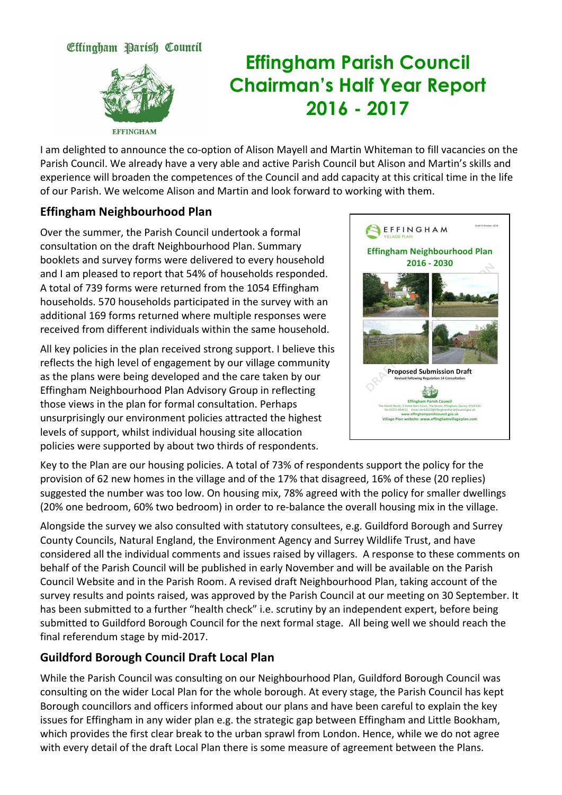### Effingham Parish Council



# **Effingham Parish Council Chairman's Half Year Report 2016 - 2017**

I am delighted to announce the co-option of Alison Mayell and Martin Whiteman to fill vacancies on the Parish Council. We already have a very able and active Parish Council but Alison and Martin's skills and experience will broaden the competences of the Council and add capacity at this critical time in the life of
our
Parish.
We
welcome
Alison
and
Martin
and
look
forward
to
working
with
them.

#### **Effingham
Neighbourhood
Plan**

Over
the
summer,
the
Parish
Council
undertook
a
formal consultation
on
the
draft
Neighbourhood
Plan.
Summary booklets
and
survey
forms
were
delivered
to
every
household and
I
am
pleased
to
report
that
54%
of
households
responded. A
total
of
739
forms
were
returned
from
the
1054
Effingham households.
570
households
participated
in
the
survey
with
an additional
169
forms
returned
where
multiple
responses
were received
from
different
individuals
within
the
same
household.

All
key
policies
in
the
plan
received
strong
support.
I
believe
this reflects the high level of engagement by our village community as
the
plans
were
being
developed
and
the
care
taken
by
our Effingham
Neighbourhood
Plan
Advisory
Group
in
reflecting those
views
in
the
plan
for
formal
consultation.
Perhaps unsurprisingly
our
environment
policies
attracted
the
highest levels
of
support,
whilst
individual
housing
site
allocation policies
were
supported
by
about
two
thirds
of
respondents.



Key to the Plan are our housing policies. A total of 73% of respondents support the policy for the provision of 62 new homes in the village and of the 17% that disagreed, 16% of these (20 replies) suggested the number was too low. On housing mix, 78% agreed with the policy for smaller dwellings (20%
one
bedroom,
60%
two
bedroom)
in
order
to
re‐balance
the
overall
housing
mix
in
the
village.

Alongside
the
survey
we
also
consulted
with
statutory
consultees,
e.g.
Guildford
Borough
and
Surrey County Councils, Natural England, the Environment Agency and Surrey Wildlife Trust, and have considered
all
the
individual
comments
and
issues
raised
by
villagers.

A
response
to
these
comments
on behalf of the Parish Council will be published in early November and will be available on the Parish Council Website and in the Parish Room. A revised draft Neighbourhood Plan, taking account of the survey results and points raised, was approved by the Parish Council at our meeting on 30 September. It has been submitted to a further "health check" i.e. scrutiny by an independent expert, before being submitted to Guildford Borough Council for the next formal stage. All being well we should reach the final
referendum
stage
by
mid‐2017.

### **Guildford
Borough
Council
Draft
Local
Plan**

While the Parish Council was consulting on our Neighbourhood Plan, Guildford Borough Council was consulting
on
the
wider
Local
Plan
for
the
whole
borough.
At
every
stage,
the
Parish
Council
has
kept Borough councillors and officers informed about our plans and have been careful to explain the key issues for Effingham in any wider plan e.g. the strategic gap between Effingham and Little Bookham, which provides the first clear break to the urban sprawl from London. Hence, while we do not agree with every detail of the draft Local Plan there is some measure of agreement between the Plans.